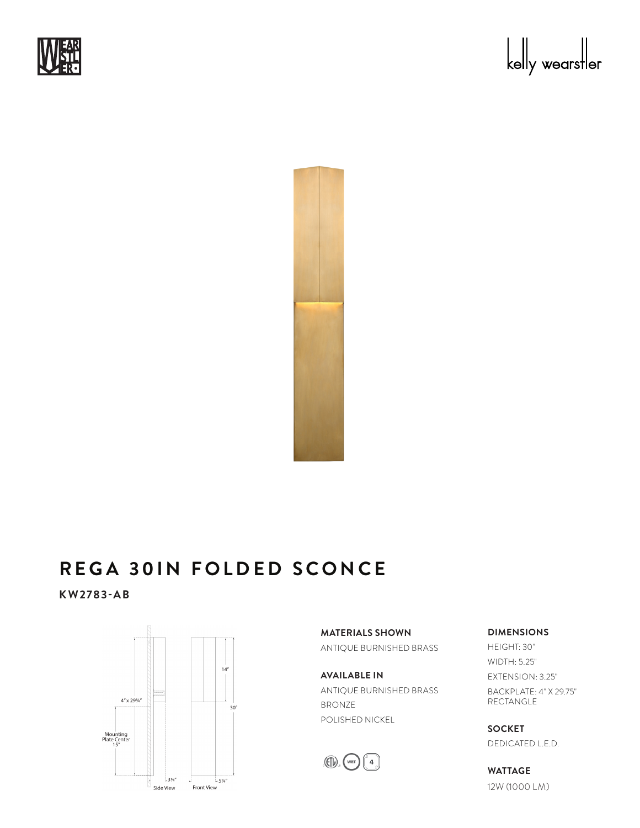





## REGA 30IN FOLDED SCONCE EUA JU

KW2783-AB



**MATERIALS SHOWN** ANTIQUE BURNISHED BRASS

**AVAILABLE IN** ANTIQUE BURNISHED BRASS BRONZE POLISHED NICKEL



**DIMENSIONS**

HEIGHT: 30" WIDTH: 5.25" EXTENSION: 3.25" BACKPLATE: 4" X 29.75" RECTANGLE

**SOCKET** DEDICATED L.E.D.

**WATTAGE** 12W (1000 LM)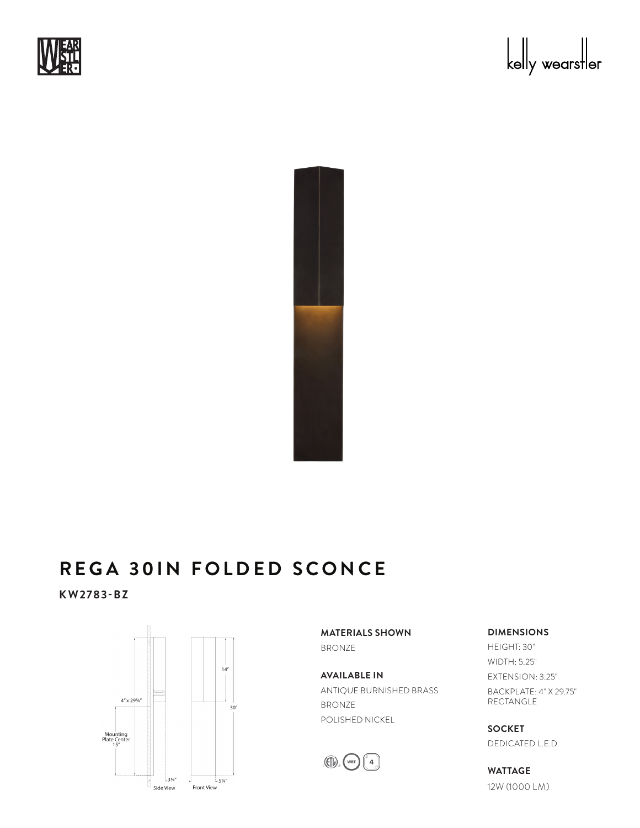





## REGA 30IN FOLDED SCONCE EUA JU

KW2783-BZ



**MATERIALS SHOWN** BRONZE

**AVAILABLE IN** ANTIQUE BURNISHED BRASS BRONZE POLISHED NICKEL



**DIMENSIONS**

HEIGHT: 30" WIDTH: 5.25" EXTENSION: 3.25" BACKPLATE: 4" X 29.75" RECTANGLE

**SOCKET** DEDICATED L.E.D.

**WATTAGE** 12W (1000 LM)